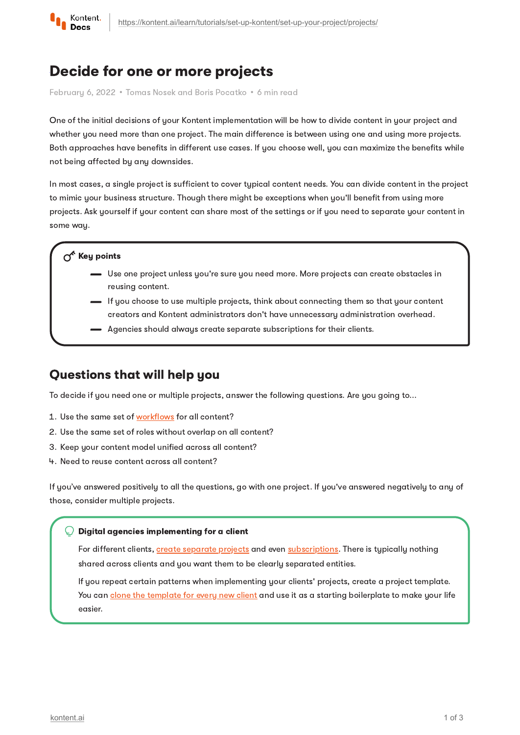

# Decide for one or more projects

February 6, 2022 · Tomas Nosek and Boris Pocatko · 6 min read

One of the initial decisions of your Kontent implementation will be how to divide content in your project and whether you need more than one project. The main difference is between using one and using more projects. Both approaches have benefits in different use cases. If you choose well, you can maximize the benefits while not being affected by any downsides.

In most cases, a single project is sufficient to cover typical content needs. You can divide content in the project to mimic your business structure. Though there might be exceptions when you'll benefit from using more projects. Ask yourself if your content can share most of the settings or if you need to separate your content in some way.

### $\gamma^k$  Key points

- Use one project unless you're sure you need more. More projects can create obstacles in reusing content.
- If you choose to use multiple projects, think about connecting them so that your content creators and Kontent administrators don't have unnecessary administration overhead.
- Agencies should always create separate subscriptions for their clients.

### Questions that will help you

To decide if you need one or multiple projects, answer the following questions. Are you going to...

- 1. Use the same set of [workflows](https://kontent.ai/learn/tutorials/set-up-kontent/set-up-team-and-collaborate/workflows/) for all content?
- 2. Use the same set of roles without overlap on all content?
- 3. Keep your content model unified across all content?
- 4. Need to reuse content across all content?

If you've answered positively to all the questions, go with one project. If you've answered negatively to any of those, consider multiple projects.

#### Digital agencies implementing for a client

For different clients, create [separate](https://kontent.ai/learn/tutorials/manage-kontent/projects/manage-projects/) projects and even [subscriptions](https://kontent.ai/learn/tutorials/manage-kontent/subscriptions/manage-subscriptions/). There is typically nothing shared across clients and you want them to be clearly separated entities.

If you repeat certain patterns when implementing your clients' projects, create a project template. You can clone the [template](https://kontent.ai/learn/tutorials/manage-kontent/projects/clone-projects/) for every new client and use it as a starting boilerplate to make your life easier.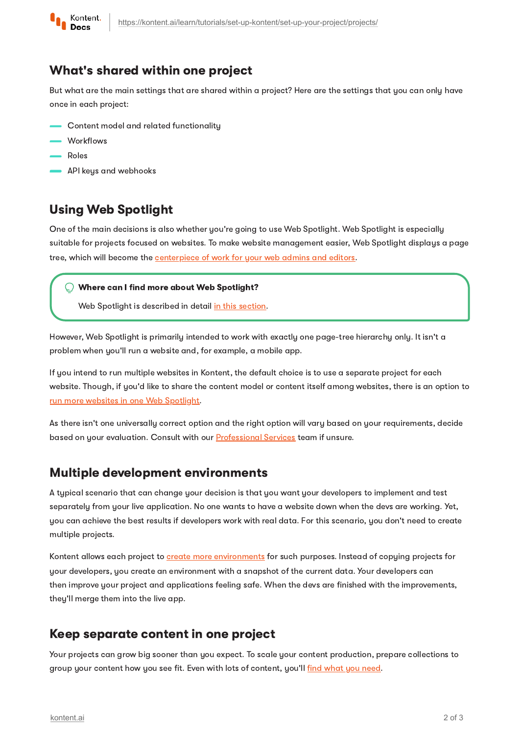

## What's shared within one project

But what are the main settings that are shared within a project? Here are the settings that you can only have once in each project:

- Content model and related functionality
- Workflows
- Roles
- **API** keys and webhooks

## Using Web Spotlight

One of the main decisions is also whether you're going to use Web Spotlight. Web Spotlight is especially suitable for projects focused on websites. To make website management easier, Web Spotlight displays a page tree, which will become the **[centerpiece](https://kontent.ai/learn/tutorials/write-and-collaborate/create-content/manage-your-website/) of work for your web admins and editors.** 

#### Where can I find more about Web Spotlight?

Web Spotlight is described in detail in this [section.](https://kontent.ai/learn/tutorials/set-up-kontent/set-up-your-project/web-spotlight/)

However, Web Spotlight is primarily intended to work with exactly one page-tree hierarchy only. It isn't a problem when you'll run a website and, for example, a mobile app.

If you intend to run multiple websites in Kontent, the default choice is to use a separate project for each website. Though, if you'd like to share the content model or content itself among websites, there is an option to run more websites in one Web [Spotlight.](https://kontent.ai/learn/tutorials/manage-kontent/web-spotlight/web-spotlight-for-more-websites/)

As there isn't one universally correct option and the right option will vary based on your requirements, decide based on your evaluation. Consult with our **[Professional](https://kontent.ai/professional-services) Services** team if unsure.

## Multiple development environments

A typical scenario that can change your decision is that you want your developers to implement and test separately from your live application. No one wants to have a website down when the devs are working. Yet, you can achieve the best results if developers work with real data. For this scenario, you don't need to create multiple projects.

Kontent allows each project to create more [environments](https://kontent.ai/learn/tutorials/manage-kontent/projects/manage-environments/) for such purposes. Instead of copying projects for your developers, you create an environment with a snapshot of the current data. Your developers can then improve your project and applications feeling safe. When the devs are finished with the improvements, they'll merge them into the live app.

## Keep separate content in one project

Your projects can grow big sooner than you expect. To scale your content production, prepare collections to group your content how you see fit. Even with lots of content, you'll find [what](https://kontent.ai/learn/tutorials/write-and-collaborate/get-right-people-on-right-content/find-your-content/) you need.